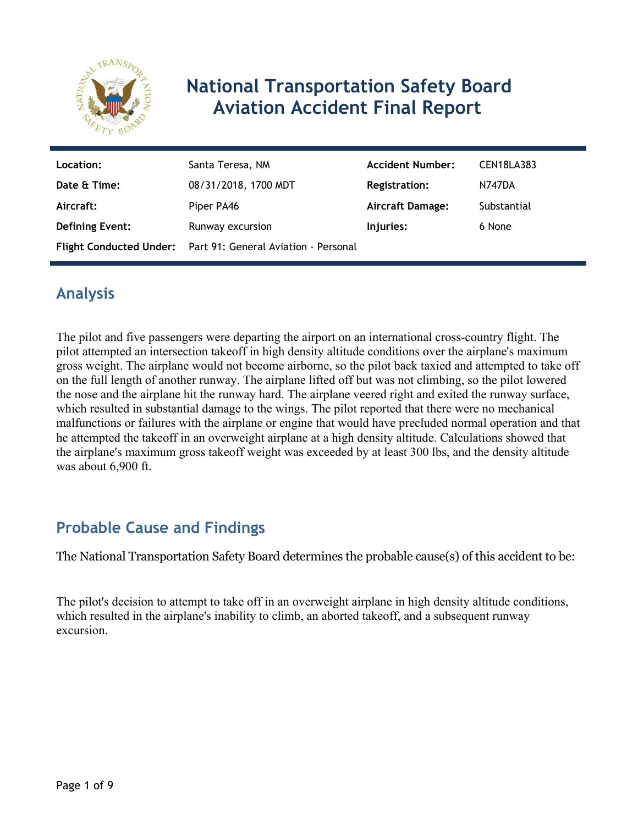

# **National Transportation Safety Board Aviation Accident Final Report**

| Location:              | Santa Teresa, NM                                             | <b>Accident Number:</b> | <b>CEN18LA383</b> |
|------------------------|--------------------------------------------------------------|-------------------------|-------------------|
| Date & Time:           | 08/31/2018, 1700 MDT                                         | <b>Registration:</b>    | <b>N747DA</b>     |
| Aircraft:              | Piper PA46                                                   | <b>Aircraft Damage:</b> | Substantial       |
| <b>Defining Event:</b> | Runway excursion                                             | Injuries:               | 6 None            |
|                        | Flight Conducted Under: Part 91: General Aviation - Personal |                         |                   |

# **Analysis**

The pilot and five passengers were departing the airport on an international cross-country flight. The pilot attempted an intersection takeoff in high density altitude conditions over the airplane's maximum gross weight. The airplane would not become airborne, so the pilot back taxied and attempted to take off on the full length of another runway. The airplane lifted off but was not climbing, so the pilot lowered the nose and the airplane hit the runway hard. The airplane veered right and exited the runway surface, which resulted in substantial damage to the wings. The pilot reported that there were no mechanical malfunctions or failures with the airplane or engine that would have precluded normal operation and that he attempted the takeoff in an overweight airplane at a high density altitude. Calculations showed that the airplane's maximum gross takeoff weight was exceeded by at least 300 lbs, and the density altitude was about 6,900 ft.

# **Probable Cause and Findings**

The National Transportation Safety Board determines the probable cause(s) of this accident to be:

The pilot's decision to attempt to take off in an overweight airplane in high density altitude conditions, which resulted in the airplane's inability to climb, an aborted takeoff, and a subsequent runway excursion.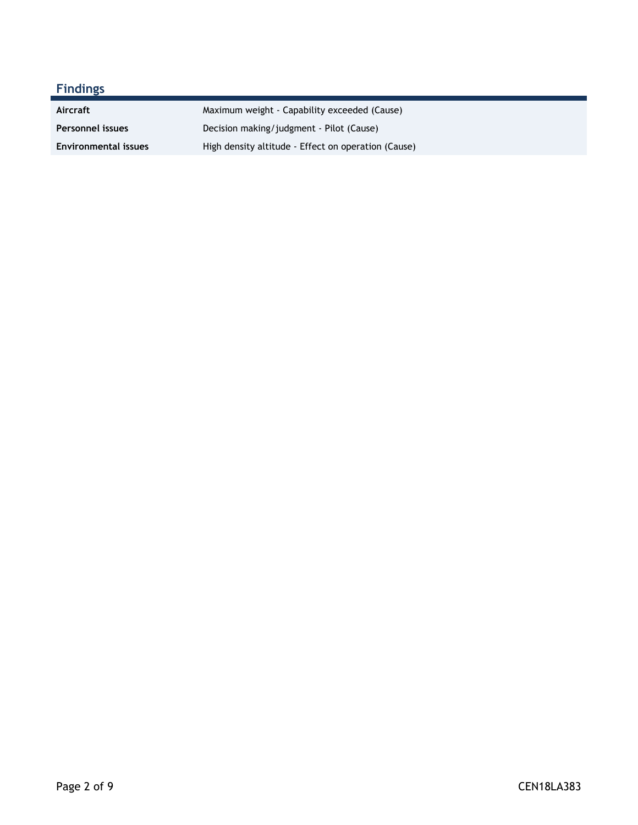| <b>Findings</b>             |                                                     |
|-----------------------------|-----------------------------------------------------|
| Aircraft                    | Maximum weight - Capability exceeded (Cause)        |
| Personnel issues            | Decision making/judgment - Pilot (Cause)            |
| <b>Environmental issues</b> | High density altitude - Effect on operation (Cause) |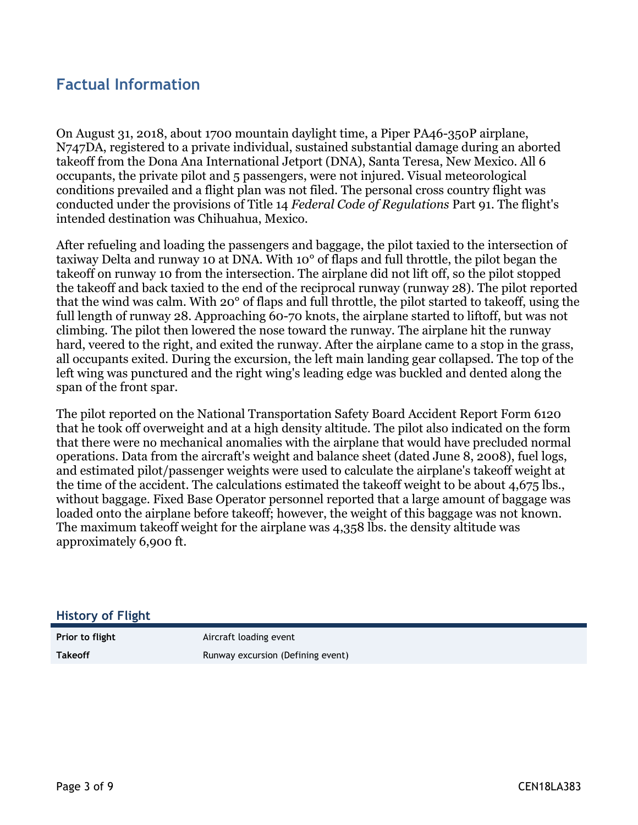## **Factual Information**

On August 31, 2018, about 1700 mountain daylight time, a Piper PA46-350P airplane, N747DA, registered to a private individual, sustained substantial damage during an aborted takeoff from the Dona Ana International Jetport (DNA), Santa Teresa, New Mexico. All 6 occupants, the private pilot and 5 passengers, were not injured. Visual meteorological conditions prevailed and a flight plan was not filed. The personal cross country flight was conducted under the provisions of Title 14 *Federal Code of Regulations* Part 91. The flight's intended destination was Chihuahua, Mexico.

After refueling and loading the passengers and baggage, the pilot taxied to the intersection of taxiway Delta and runway 10 at DNA. With 10° of flaps and full throttle, the pilot began the takeoff on runway 10 from the intersection. The airplane did not lift off, so the pilot stopped the takeoff and back taxied to the end of the reciprocal runway (runway 28). The pilot reported that the wind was calm. With 20° of flaps and full throttle, the pilot started to takeoff, using the full length of runway 28. Approaching 60-70 knots, the airplane started to liftoff, but was not climbing. The pilot then lowered the nose toward the runway. The airplane hit the runway hard, veered to the right, and exited the runway. After the airplane came to a stop in the grass, all occupants exited. During the excursion, the left main landing gear collapsed. The top of the left wing was punctured and the right wing's leading edge was buckled and dented along the span of the front spar.

The pilot reported on the National Transportation Safety Board Accident Report Form 6120 that he took off overweight and at a high density altitude. The pilot also indicated on the form that there were no mechanical anomalies with the airplane that would have precluded normal operations. Data from the aircraft's weight and balance sheet (dated June 8, 2008), fuel logs, and estimated pilot/passenger weights were used to calculate the airplane's takeoff weight at the time of the accident. The calculations estimated the takeoff weight to be about 4,675 lbs., without baggage. Fixed Base Operator personnel reported that a large amount of baggage was loaded onto the airplane before takeoff; however, the weight of this baggage was not known. The maximum takeoff weight for the airplane was 4,358 lbs. the density altitude was approximately 6,900 ft.

#### **History of Flight**

**Prior to flight** Aircraft loading event **Takeoff Runway excursion (Defining event)**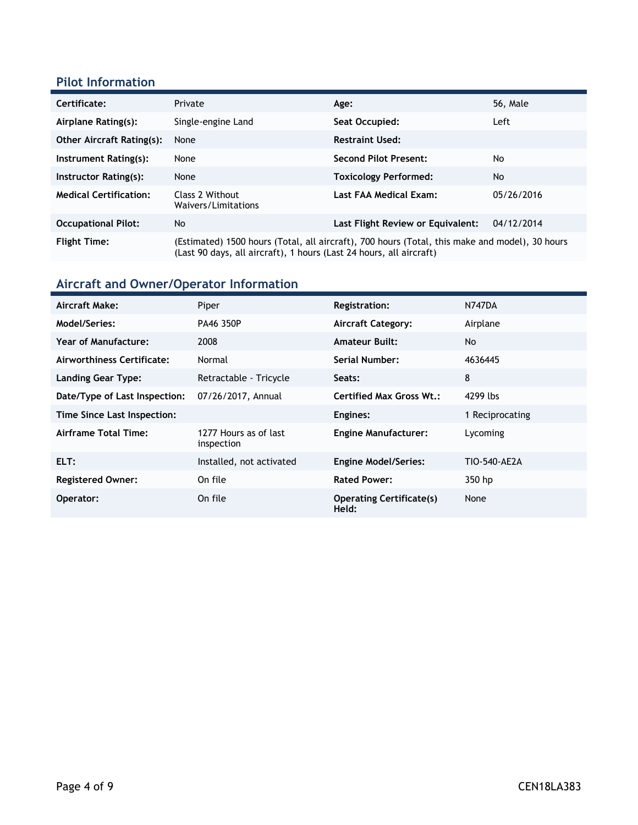### **Pilot Information**

| Certificate:                     | Private                                                                                                                                                               | Age:                              | <b>56, Male</b> |
|----------------------------------|-----------------------------------------------------------------------------------------------------------------------------------------------------------------------|-----------------------------------|-----------------|
| Airplane Rating(s):              | Single-engine Land                                                                                                                                                    | Seat Occupied:                    | Left            |
| <b>Other Aircraft Rating(s):</b> | None                                                                                                                                                                  | <b>Restraint Used:</b>            |                 |
| Instrument Rating(s):            | None                                                                                                                                                                  | <b>Second Pilot Present:</b>      | No              |
| Instructor Rating(s):            | None                                                                                                                                                                  | <b>Toxicology Performed:</b>      | No              |
| <b>Medical Certification:</b>    | Class 2 Without<br>Waivers/Limitations                                                                                                                                | Last FAA Medical Exam:            | 05/26/2016      |
| <b>Occupational Pilot:</b>       | No                                                                                                                                                                    | Last Flight Review or Equivalent: | 04/12/2014      |
| <b>Flight Time:</b>              | (Estimated) 1500 hours (Total, all aircraft), 700 hours (Total, this make and model), 30 hours<br>(Last 90 days, all aircraft), 1 hours (Last 24 hours, all aircraft) |                                   |                 |

# **Aircraft and Owner/Operator Information**

| Aircraft Make:                | Piper                               | <b>Registration:</b>                     | <b>N747DA</b>   |
|-------------------------------|-------------------------------------|------------------------------------------|-----------------|
| Model/Series:                 | PA46 350P                           | <b>Aircraft Category:</b>                | Airplane        |
| <b>Year of Manufacture:</b>   | 2008                                | <b>Amateur Built:</b>                    | No.             |
| Airworthiness Certificate:    | Normal                              | Serial Number:                           | 4636445         |
| <b>Landing Gear Type:</b>     | Retractable - Tricycle              | Seats:                                   | 8               |
| Date/Type of Last Inspection: | 07/26/2017, Annual                  | <b>Certified Max Gross Wt.:</b>          | 4299 lbs        |
| Time Since Last Inspection:   |                                     | Engines:                                 | 1 Reciprocating |
| Airframe Total Time:          | 1277 Hours as of last<br>inspection | <b>Engine Manufacturer:</b>              | Lycoming        |
| ELT:                          | Installed, not activated            | <b>Engine Model/Series:</b>              | TIO-540-AE2A    |
| <b>Registered Owner:</b>      | On file                             | <b>Rated Power:</b>                      | 350 hp          |
| Operator:                     | On file                             | <b>Operating Certificate(s)</b><br>Held: | None            |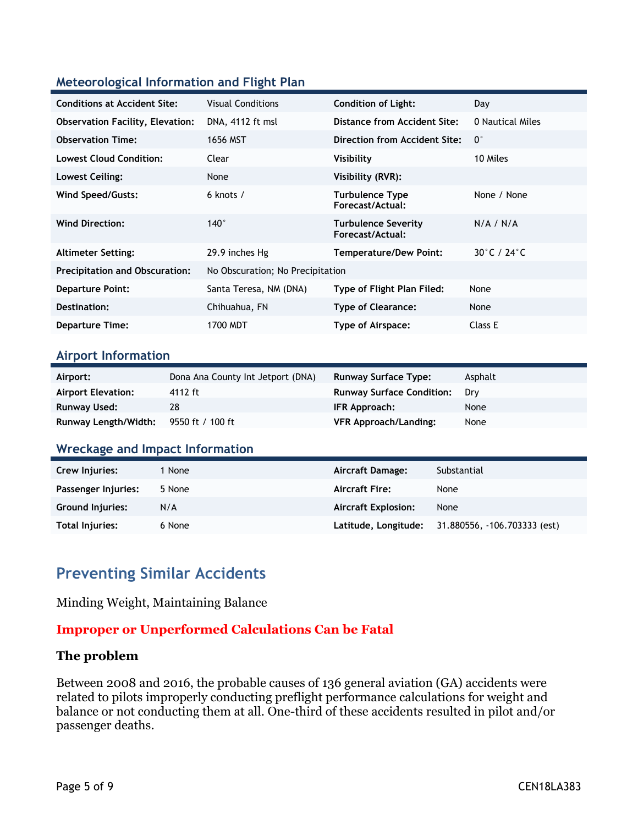#### **Meteorological Information and Flight Plan**

| <b>Conditions at Accident Site:</b>     | <b>Visual Conditions</b>         | <b>Condition of Light:</b>                     | Day              |
|-----------------------------------------|----------------------------------|------------------------------------------------|------------------|
| <b>Observation Facility, Elevation:</b> | DNA, 4112 ft msl                 | Distance from Accident Site:                   | 0 Nautical Miles |
| <b>Observation Time:</b>                | 1656 MST                         | <b>Direction from Accident Site:</b>           | $0^{\circ}$      |
| <b>Lowest Cloud Condition:</b>          | Clear                            | Visibility                                     | 10 Miles         |
| Lowest Ceiling:                         | None                             | Visibility (RVR):                              |                  |
| <b>Wind Speed/Gusts:</b>                | 6 knots $/$                      | <b>Turbulence Type</b><br>Forecast/Actual:     | None / None      |
| <b>Wind Direction:</b>                  | $140^\circ$                      | <b>Turbulence Severity</b><br>Forecast/Actual: | N/A / N/A        |
| <b>Altimeter Setting:</b>               | 29.9 inches Hg                   | Temperature/Dew Point:                         | 30°C / 24°C      |
| <b>Precipitation and Obscuration:</b>   | No Obscuration; No Precipitation |                                                |                  |
| <b>Departure Point:</b>                 | Santa Teresa, NM (DNA)           | Type of Flight Plan Filed:                     | None             |
| Destination:                            | Chihuahua, FN                    | <b>Type of Clearance:</b>                      | None             |
| <b>Departure Time:</b>                  | 1700 MDT                         | Type of Airspace:                              | Class E          |

#### **Airport Information**

| Airport:                                     | Dona Ana County Int Jetport (DNA) | <b>Runway Surface Type:</b>      | Asphalt |
|----------------------------------------------|-----------------------------------|----------------------------------|---------|
| <b>Airport Elevation:</b>                    | 4112 ft                           | <b>Runway Surface Condition:</b> | Drv     |
| Runway Used:                                 | 28                                | IFR Approach:                    | None    |
| <b>Runway Length/Width:</b> 9550 ft / 100 ft |                                   | VFR Approach/Landing:            | None    |

#### **Wreckage and Impact Information**

| Crew Injuries:          | 1 None | Aircraft Damage:           | Substantial                  |
|-------------------------|--------|----------------------------|------------------------------|
| Passenger Injuries:     | 5 None | <b>Aircraft Fire:</b>      | None                         |
| <b>Ground Injuries:</b> | N/A    | <b>Aircraft Explosion:</b> | None                         |
| Total Injuries:         | 6 None | Latitude, Longitude;       | 31.880556, -106.703333 (est) |

### **Preventing Similar Accidents**

Minding Weight, Maintaining Balance

#### **Improper or Unperformed Calculations Can be Fatal**

#### **The problem**

Between 2008 and 2016, the probable causes of 136 general aviation (GA) accidents were related to pilots improperly conducting preflight performance calculations for weight and balance or not conducting them at all. One-third of these accidents resulted in pilot and/or passenger deaths.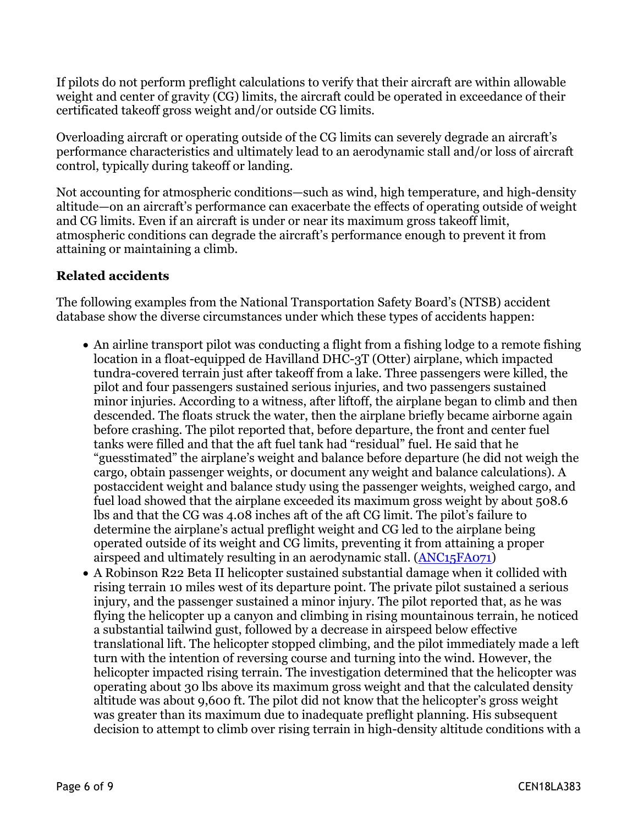If pilots do not perform preflight calculations to verify that their aircraft are within allowable weight and center of gravity (CG) limits, the aircraft could be operated in exceedance of their certificated takeoff gross weight and/or outside CG limits.

Overloading aircraft or operating outside of the CG limits can severely degrade an aircraft's performance characteristics and ultimately lead to an aerodynamic stall and/or loss of aircraft control, typically during takeoff or landing.

Not accounting for atmospheric conditions—such as wind, high temperature, and high-density altitude—on an aircraft's performance can exacerbate the effects of operating outside of weight and CG limits. Even if an aircraft is under or near its maximum gross takeoff limit, atmospheric conditions can degrade the aircraft's performance enough to prevent it from attaining or maintaining a climb.

### **Related accidents**

The following examples from the National Transportation Safety Board's (NTSB) accident database show the diverse circumstances under which these types of accidents happen:

- An airline transport pilot was conducting a flight from a fishing lodge to a remote fishing location in a float-equipped de Havilland DHC-3T (Otter) airplane, which impacted tundra-covered terrain just after takeoff from a lake. Three passengers were killed, the pilot and four passengers sustained serious injuries, and two passengers sustained minor injuries. According to a witness, after liftoff, the airplane began to climb and then descended. The floats struck the water, then the airplane briefly became airborne again before crashing. The pilot reported that, before departure, the front and center fuel tanks were filled and that the aft fuel tank had "residual" fuel. He said that he "guesstimated" the airplane's weight and balance before departure (he did not weigh the cargo, obtain passenger weights, or document any weight and balance calculations). A postaccident weight and balance study using the passenger weights, weighed cargo, and fuel load showed that the airplane exceeded its maximum gross weight by about 508.6 lbs and that the CG was 4.08 inches aft of the aft CG limit. The pilot's failure to determine the airplane's actual preflight weight and CG led to the airplane being operated outside of its weight and CG limits, preventing it from attaining a proper airspeed and ultimately resulting in an aerodynamic stall. ([ANC15FA071\)](https://app.ntsb.gov/pdfgenerator/ReportGeneratorFile.ashx?EventID=20150915X52520&AKey=1&RType=HTML&IType=FA)
- A Robinson R22 Beta II helicopter sustained substantial damage when it collided with rising terrain 10 miles west of its departure point. The private pilot sustained a serious injury, and the passenger sustained a minor injury. The pilot reported that, as he was flying the helicopter up a canyon and climbing in rising mountainous terrain, he noticed a substantial tailwind gust, followed by a decrease in airspeed below effective translational lift. The helicopter stopped climbing, and the pilot immediately made a left turn with the intention of reversing course and turning into the wind. However, the helicopter impacted rising terrain. The investigation determined that the helicopter was operating about 30 lbs above its maximum gross weight and that the calculated density altitude was about 9,600 ft. The pilot did not know that the helicopter's gross weight was greater than its maximum due to inadequate preflight planning. His subsequent decision to attempt to climb over rising terrain in high-density altitude conditions with a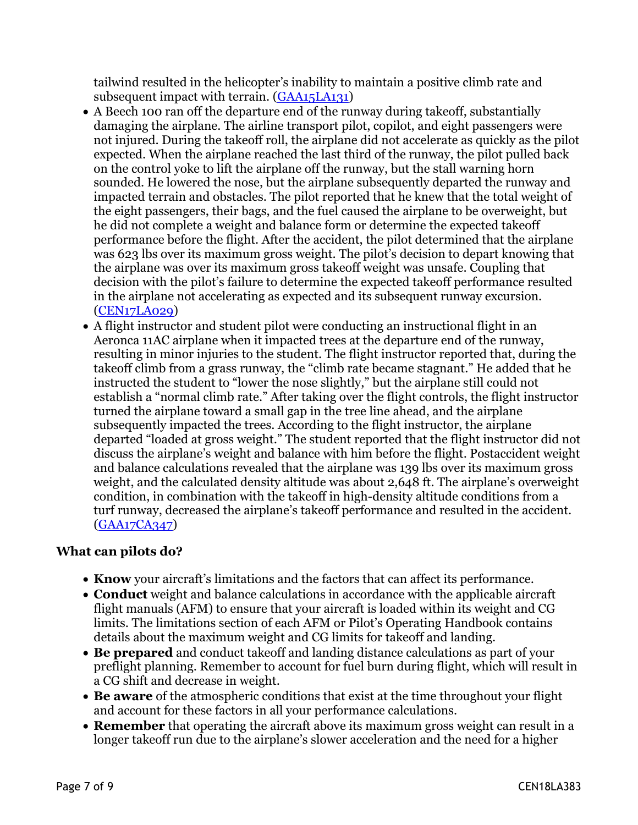tailwind resulted in the helicopter's inability to maintain a positive climb rate and subsequent impact with terrain. [\(GAA15LA131\)](https://app.ntsb.gov/pdfgenerator/ReportGeneratorFile.ashx?EventID=20150622X33904&AKey=1&RType=HTML&IType=LA)

- A Beech 100 ran off the departure end of the runway during takeoff, substantially damaging the airplane. The airline transport pilot, copilot, and eight passengers were not injured. During the takeoff roll, the airplane did not accelerate as quickly as the pilot expected. When the airplane reached the last third of the runway, the pilot pulled back on the control yoke to lift the airplane off the runway, but the stall warning horn sounded. He lowered the nose, but the airplane subsequently departed the runway and impacted terrain and obstacles. The pilot reported that he knew that the total weight of the eight passengers, their bags, and the fuel caused the airplane to be overweight, but he did not complete a weight and balance form or determine the expected takeoff performance before the flight. After the accident, the pilot determined that the airplane was 623 lbs over its maximum gross weight. The pilot's decision to depart knowing that the airplane was over its maximum gross takeoff weight was unsafe. Coupling that decision with the pilot's failure to determine the expected takeoff performance resulted in the airplane not accelerating as expected and its subsequent runway excursion. [\(CEN17LA029\)](https://app.ntsb.gov/pdfgenerator/ReportGeneratorFile.ashx?EventID=20161031X10800&AKey=1&RType=HTML&IType=LA)
- A flight instructor and student pilot were conducting an instructional flight in an Aeronca 11AC airplane when it impacted trees at the departure end of the runway, resulting in minor injuries to the student. The flight instructor reported that, during the takeoff climb from a grass runway, the "climb rate became stagnant." He added that he instructed the student to "lower the nose slightly," but the airplane still could not establish a "normal climb rate." After taking over the flight controls, the flight instructor turned the airplane toward a small gap in the tree line ahead, and the airplane subsequently impacted the trees. According to the flight instructor, the airplane departed "loaded at gross weight." The student reported that the flight instructor did not discuss the airplane's weight and balance with him before the flight. Postaccident weight and balance calculations revealed that the airplane was 139 lbs over its maximum gross weight, and the calculated density altitude was about 2,648 ft. The airplane's overweight condition, in combination with the takeoff in high-density altitude conditions from a turf runway, decreased the airplane's takeoff performance and resulted in the accident. [\(GAA17CA347\)](https://app.ntsb.gov/pdfgenerator/ReportGeneratorFile.ashx?EventID=20170619X84923&AKey=1&RType=HTML&IType=CA)

#### **What can pilots do?**

- **Know** your aircraft's limitations and the factors that can affect its performance.
- **Conduct** weight and balance calculations in accordance with the applicable aircraft flight manuals (AFM) to ensure that your aircraft is loaded within its weight and CG limits. The limitations section of each AFM or Pilot's Operating Handbook contains details about the maximum weight and CG limits for takeoff and landing.
- **Be prepared** and conduct takeoff and landing distance calculations as part of your preflight planning. Remember to account for fuel burn during flight, which will result in a CG shift and decrease in weight.
- **Be aware** of the atmospheric conditions that exist at the time throughout your flight and account for these factors in all your performance calculations.
- **Remember** that operating the aircraft above its maximum gross weight can result in a longer takeoff run due to the airplane's slower acceleration and the need for a higher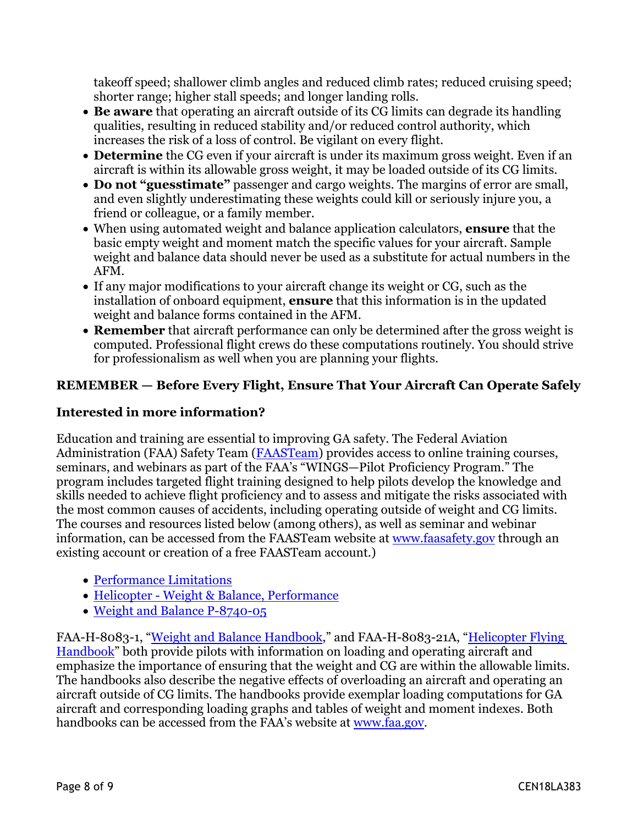takeoff speed; shallower climb angles and reduced climb rates; reduced cruising speed; shorter range; higher stall speeds; and longer landing rolls.

- **Be aware** that operating an aircraft outside of its CG limits can degrade its handling qualities, resulting in reduced stability and/or reduced control authority, which increases the risk of a loss of control. Be vigilant on every flight.
- **Determine** the CG even if your aircraft is under its maximum gross weight. Even if an aircraft is within its allowable gross weight, it may be loaded outside of its CG limits.
- **Do not "guesstimate"** passenger and cargo weights. The margins of error are small, and even slightly underestimating these weights could kill or seriously injure you, a friend or colleague, or a family member.
- When using automated weight and balance application calculators, **ensure** that the basic empty weight and moment match the specific values for your aircraft. Sample weight and balance data should never be used as a substitute for actual numbers in the AFM.
- If any major modifications to your aircraft change its weight or CG, such as the installation of onboard equipment, **ensure** that this information is in the updated weight and balance forms contained in the AFM.
- **Remember** that aircraft performance can only be determined after the gross weight is computed. Professional flight crews do these computations routinely. You should strive for professionalism as well when you are planning your flights.

### **REMEMBER — Before Every Flight, Ensure That Your Aircraft Can Operate Safely**

### **Interested in more information?**

Education and training are essential to improving GA safety. The Federal Aviation Administration (FAA) Safety Team ([FAASTeam\)](https://www.faasafety.gov/) provides access to online training courses, seminars, and webinars as part of the FAA's "WINGS—Pilot Proficiency Program." The program includes targeted flight training designed to help pilots develop the knowledge and skills needed to achieve flight proficiency and to assess and mitigate the risks associated with the most common causes of accidents, including operating outside of weight and CG limits. The courses and resources listed below (among others), as well as seminar and webinar information, can be accessed from the FAASTeam website at [www.faasafety.gov](https://www.faasafety.gov/) through an existing account or creation of a free FAASTeam account.)

- [Performance Limitations](https://www.faasafety.gov/gslac/ALC/course_content.aspx?pf=1&preview=true&cID=63)
- [Helicopter Weight & Balance, Performance](https://www.faasafety.gov/gslac/ALC/course_content.aspx?cID=103&sID=439&searchresults=true&preview=true)
- [Weight and Balance P-8740-05](https://www.faasafety.gov/gslac/ALC/libview_normal.aspx?id=6861)

FAA-H-8083-1, ["Weight and Balance Handbook,](https://www.faa.gov/regulations_policies/handbooks_manuals/aviation/media/FAA-H-8083-1.pdf)" and FAA-H-8083-21A, ["Helicopter Flying](https://www.faa.gov/regulations_policies/handbooks_manuals/aviation/helicopter_flying_handbook/)  [Handbook"](https://www.faa.gov/regulations_policies/handbooks_manuals/aviation/helicopter_flying_handbook/) both provide pilots with information on loading and operating aircraft and emphasize the importance of ensuring that the weight and CG are within the allowable limits. The handbooks also describe the negative effects of overloading an aircraft and operating an aircraft outside of CG limits. The handbooks provide exemplar loading computations for GA aircraft and corresponding loading graphs and tables of weight and moment indexes. Both handbooks can be accessed from the FAA's website at [www.faa.gov.](https://www.faa.gov/)